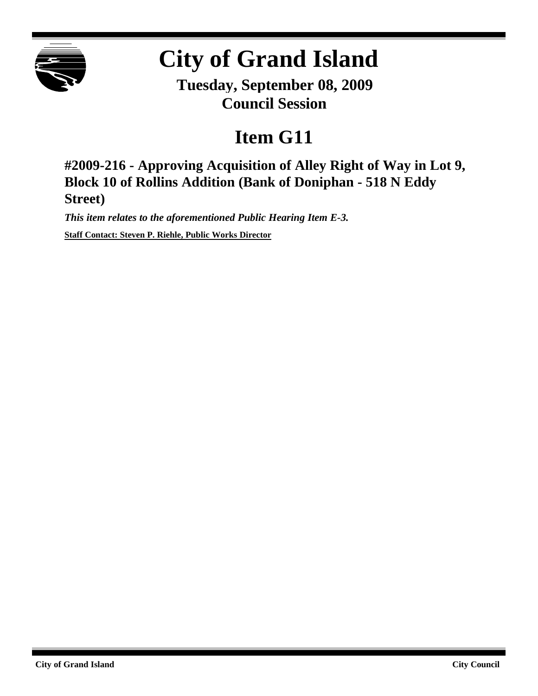

## **City of Grand Island**

**Tuesday, September 08, 2009 Council Session**

## **Item G11**

**#2009-216 - Approving Acquisition of Alley Right of Way in Lot 9, Block 10 of Rollins Addition (Bank of Doniphan - 518 N Eddy Street)**

*This item relates to the aforementioned Public Hearing Item E-3.* **Staff Contact: Steven P. Riehle, Public Works Director**